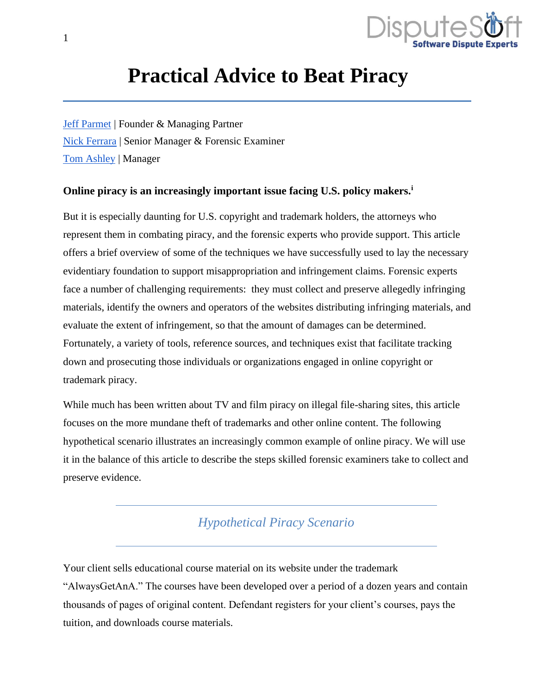

# **Practical Advice to Beat Piracy**

[Jeff Parmet](https://www.disputesoft.com/experts/jeff-parmet/) | Founder & Managing Partner [Nick Ferrara](https://www.disputesoft.com/experts/nick-ferrara/) | Senior Manager & Forensic Examiner [Tom Ashley](https://www.disputesoft.com/experts/tom-ashley/) | Manager

#### **Online piracy is an increasingly important issue facing U.S. policy makers.<sup>i</sup>**

But it is especially daunting for U.S. copyright and trademark holders, the attorneys who represent them in combating piracy, and the forensic experts who provide support. This article offers a brief overview of some of the techniques we have successfully used to lay the necessary evidentiary foundation to support misappropriation and infringement claims. Forensic experts face a number of challenging requirements: they must collect and preserve allegedly infringing materials, identify the owners and operators of the websites distributing infringing materials, and evaluate the extent of infringement, so that the amount of damages can be determined. Fortunately, a variety of tools, reference sources, and techniques exist that facilitate tracking down and prosecuting those individuals or organizations engaged in online copyright or trademark piracy.

While much has been written about TV and film piracy on illegal file-sharing sites, this article focuses on the more mundane theft of trademarks and other online content. The following hypothetical scenario illustrates an increasingly common example of online piracy. We will use it in the balance of this article to describe the steps skilled forensic examiners take to collect and preserve evidence.

### *Hypothetical Piracy Scenario*

Your client sells educational course material on its website under the trademark "AlwaysGetAnA." The courses have been developed over a period of a dozen years and contain thousands of pages of original content. Defendant registers for your client's courses, pays the tuition, and downloads course materials.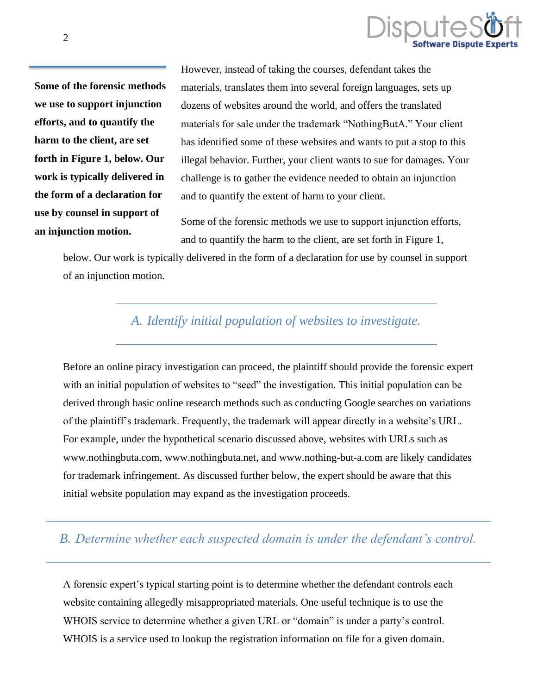

**Some of the forensic methods we use to support injunction efforts, and to quantify the harm to the client, are set forth in Figure 1, below. Our work is typically delivered in the form of a declaration for use by counsel in support of an injunction motion.**

However, instead of taking the courses, defendant takes the materials, translates them into several foreign languages, sets up dozens of websites around the world, and offers the translated materials for sale under the trademark "NothingButA." Your client has identified some of these websites and wants to put a stop to this illegal behavior. Further, your client wants to sue for damages. Your challenge is to gather the evidence needed to obtain an injunction and to quantify the extent of harm to your client.

Some of the forensic methods we use to support injunction efforts, and to quantify the harm to the client, are set forth in Figure 1,

below. Our work is typically delivered in the form of a declaration for use by counsel in support of an injunction motion.

## *A. Identify initial population of websites to investigate.*

Before an online piracy investigation can proceed, the plaintiff should provide the forensic expert with an initial population of websites to "seed" the investigation. This initial population can be derived through basic online research methods such as conducting Google searches on variations of the plaintiff's trademark. Frequently, the trademark will appear directly in a website's URL. For example, under the hypothetical scenario discussed above, websites with URLs such as www.nothingbuta.com, www.nothingbuta.net, and www.nothing-but-a.com are likely candidates for trademark infringement. As discussed further below, the expert should be aware that this initial website population may expand as the investigation proceeds.

## *B. Determine whether each suspected domain is under the defendant's control.*

A forensic expert's typical starting point is to determine whether the defendant controls each website containing allegedly misappropriated materials. One useful technique is to use the WHOIS service to determine whether a given URL or "domain" is under a party's control. WHOIS is a service used to lookup the registration information on file for a given domain.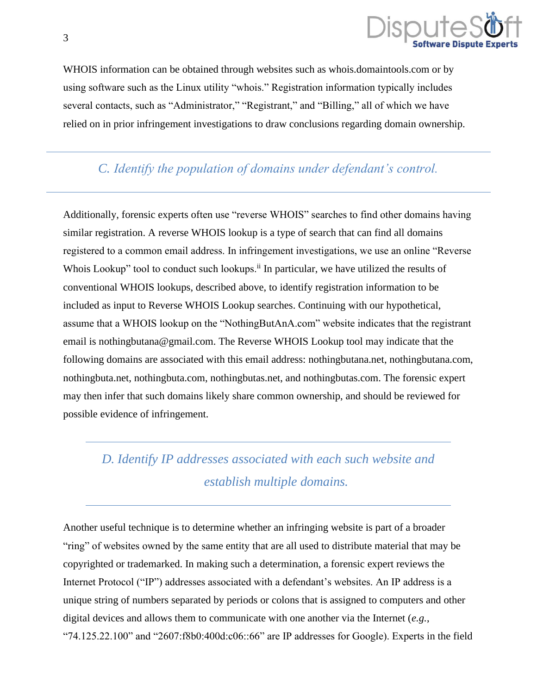

WHOIS information can be obtained through websites such as whois.domaintools.com or by using software such as the Linux utility "whois." Registration information typically includes several contacts, such as "Administrator," "Registrant," and "Billing," all of which we have relied on in prior infringement investigations to draw conclusions regarding domain ownership.

*C. Identify the population of domains under defendant's control.*

Additionally, forensic experts often use "reverse WHOIS" searches to find other domains having similar registration. A reverse WHOIS lookup is a type of search that can find all domains registered to a common email address. In infringement investigations, we use an online "Reverse Whois Lookup" tool to conduct such lookups.<sup>ii</sup> In particular, we have utilized the results of conventional WHOIS lookups, described above, to identify registration information to be included as input to Reverse WHOIS Lookup searches. Continuing with our hypothetical, assume that a WHOIS lookup on the "NothingButAnA.com" website indicates that the registrant email is nothingbutana@gmail.com. The Reverse WHOIS Lookup tool may indicate that the following domains are associated with this email address: nothingbutana.net, nothingbutana.com, nothingbuta.net, nothingbuta.com, nothingbutas.net, and nothingbutas.com. The forensic expert may then infer that such domains likely share common ownership, and should be reviewed for possible evidence of infringement.

## *D. Identify IP addresses associated with each such website and establish multiple domains.*

Another useful technique is to determine whether an infringing website is part of a broader "ring" of websites owned by the same entity that are all used to distribute material that may be copyrighted or trademarked. In making such a determination, a forensic expert reviews the Internet Protocol ("IP") addresses associated with a defendant's websites. An IP address is a unique string of numbers separated by periods or colons that is assigned to computers and other digital devices and allows them to communicate with one another via the Internet (*e.g.*, "74.125.22.100" and "2607:f8b0:400d: $c06::66"$  are IP addresses for Google). Experts in the field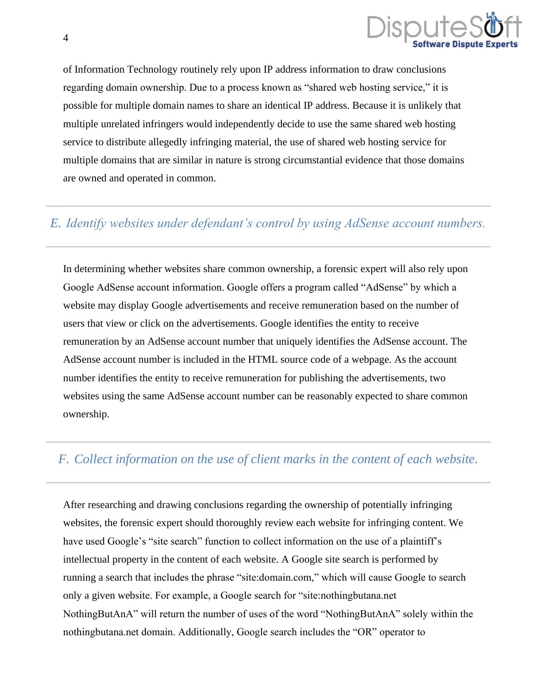

of Information Technology routinely rely upon IP address information to draw conclusions regarding domain ownership. Due to a process known as "shared web hosting service," it is possible for multiple domain names to share an identical IP address. Because it is unlikely that multiple unrelated infringers would independently decide to use the same shared web hosting service to distribute allegedly infringing material, the use of shared web hosting service for multiple domains that are similar in nature is strong circumstantial evidence that those domains are owned and operated in common.

### *E. Identify websites under defendant's control by using AdSense account numbers.*

In determining whether websites share common ownership, a forensic expert will also rely upon Google AdSense account information. Google offers a program called "AdSense" by which a website may display Google advertisements and receive remuneration based on the number of users that view or click on the advertisements. Google identifies the entity to receive remuneration by an AdSense account number that uniquely identifies the AdSense account. The AdSense account number is included in the HTML source code of a webpage. As the account number identifies the entity to receive remuneration for publishing the advertisements, two websites using the same AdSense account number can be reasonably expected to share common ownership.

### *F. Collect information on the use of client marks in the content of each website.*

After researching and drawing conclusions regarding the ownership of potentially infringing websites, the forensic expert should thoroughly review each website for infringing content. We have used Google's "site search" function to collect information on the use of a plaintiff's intellectual property in the content of each website. A Google site search is performed by running a search that includes the phrase "site:domain.com," which will cause Google to search only a given website. For example, a Google search for "site:nothingbutana.net NothingButAnA" will return the number of uses of the word "NothingButAnA" solely within the nothingbutana.net domain. Additionally, Google search includes the "OR" operator to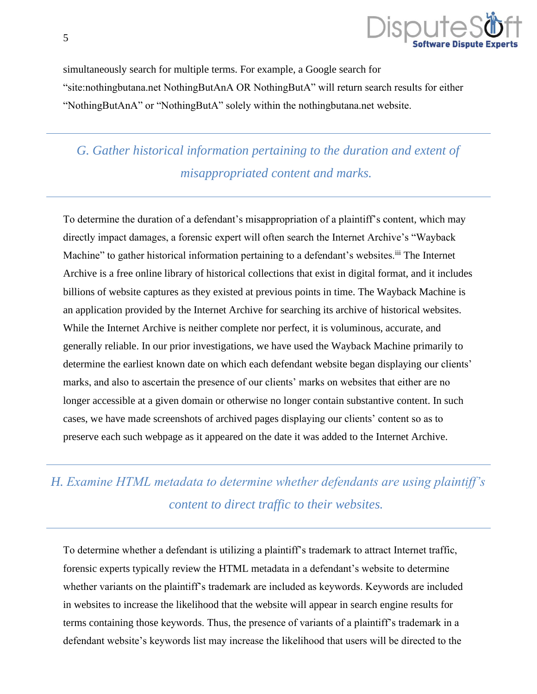

simultaneously search for multiple terms. For example, a Google search for "site:nothingbutana.net NothingButAnA OR NothingButA" will return search results for either "NothingButAnA" or "NothingButA" solely within the nothingbutana.net website.

*G. Gather historical information pertaining to the duration and extent of misappropriated content and marks.*

To determine the duration of a defendant's misappropriation of a plaintiff's content, which may directly impact damages, a forensic expert will often search the Internet Archive's "Wayback Machine" to gather historical information pertaining to a defendant's websites.<sup>iii</sup> The Internet Archive is a free online library of historical collections that exist in digital format, and it includes billions of website captures as they existed at previous points in time. The Wayback Machine is an application provided by the Internet Archive for searching its archive of historical websites. While the Internet Archive is neither complete nor perfect, it is voluminous, accurate, and generally reliable. In our prior investigations, we have used the Wayback Machine primarily to determine the earliest known date on which each defendant website began displaying our clients' marks, and also to ascertain the presence of our clients' marks on websites that either are no longer accessible at a given domain or otherwise no longer contain substantive content. In such cases, we have made screenshots of archived pages displaying our clients' content so as to preserve each such webpage as it appeared on the date it was added to the Internet Archive.

## *H. Examine HTML metadata to determine whether defendants are using plaintiff's content to direct traffic to their websites.*

To determine whether a defendant is utilizing a plaintiff's trademark to attract Internet traffic, forensic experts typically review the HTML metadata in a defendant's website to determine whether variants on the plaintiff's trademark are included as keywords. Keywords are included in websites to increase the likelihood that the website will appear in search engine results for terms containing those keywords. Thus, the presence of variants of a plaintiff's trademark in a defendant website's keywords list may increase the likelihood that users will be directed to the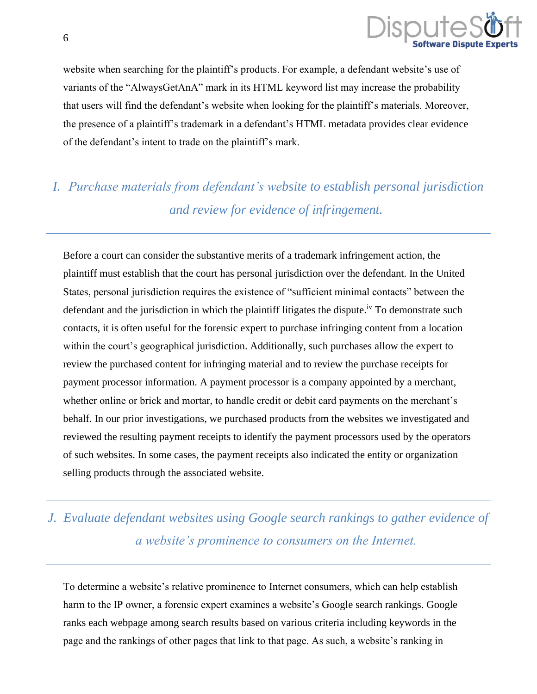

website when searching for the plaintiff's products. For example, a defendant website's use of variants of the "AlwaysGetAnA" mark in its HTML keyword list may increase the probability that users will find the defendant's website when looking for the plaintiff's materials. Moreover, the presence of a plaintiff's trademark in a defendant's HTML metadata provides clear evidence of the defendant's intent to trade on the plaintiff's mark.

## *I. Purchase materials from defendant's website to establish personal jurisdiction and review for evidence of infringement.*

Before a court can consider the substantive merits of a trademark infringement action, the plaintiff must establish that the court has personal jurisdiction over the defendant. In the United States, personal jurisdiction requires the existence of "sufficient minimal contacts" between the defendant and the jurisdiction in which the plaintiff litigates the dispute.<sup>iv</sup> To demonstrate such contacts, it is often useful for the forensic expert to purchase infringing content from a location within the court's geographical jurisdiction. Additionally, such purchases allow the expert to review the purchased content for infringing material and to review the purchase receipts for payment processor information. A payment processor is a company appointed by a merchant, whether online or brick and mortar, to handle credit or debit card payments on the merchant's behalf. In our prior investigations, we purchased products from the websites we investigated and reviewed the resulting payment receipts to identify the payment processors used by the operators of such websites. In some cases, the payment receipts also indicated the entity or organization selling products through the associated website.

## *J. Evaluate defendant websites using Google search rankings to gather evidence of a website's prominence to consumers on the Internet.*

To determine a website's relative prominence to Internet consumers, which can help establish harm to the IP owner, a forensic expert examines a website's Google search rankings. Google ranks each webpage among search results based on various criteria including keywords in the page and the rankings of other pages that link to that page. As such, a website's ranking in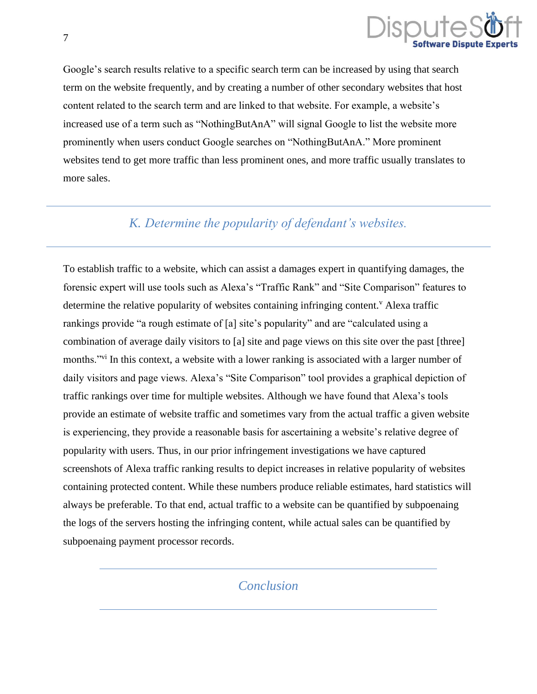

Google's search results relative to a specific search term can be increased by using that search term on the website frequently, and by creating a number of other secondary websites that host content related to the search term and are linked to that website. For example, a website's increased use of a term such as "NothingButAnA" will signal Google to list the website more prominently when users conduct Google searches on "NothingButAnA." More prominent websites tend to get more traffic than less prominent ones, and more traffic usually translates to more sales.

## *K. Determine the popularity of defendant's websites.*

To establish traffic to a website, which can assist a damages expert in quantifying damages, the forensic expert will use tools such as Alexa's "Traffic Rank" and "Site Comparison" features to determine the relative popularity of websites containing infringing content.<sup>V</sup> Alexa traffic rankings provide "a rough estimate of [a] site's popularity" and are "calculated using a combination of average daily visitors to [a] site and page views on this site over the past [three] months."<sup>vi</sup> In this context, a website with a lower ranking is associated with a larger number of daily visitors and page views. Alexa's "Site Comparison" tool provides a graphical depiction of traffic rankings over time for multiple websites. Although we have found that Alexa's tools provide an estimate of website traffic and sometimes vary from the actual traffic a given website is experiencing, they provide a reasonable basis for ascertaining a website's relative degree of popularity with users. Thus, in our prior infringement investigations we have captured screenshots of Alexa traffic ranking results to depict increases in relative popularity of websites containing protected content. While these numbers produce reliable estimates, hard statistics will always be preferable. To that end, actual traffic to a website can be quantified by subpoenaing the logs of the servers hosting the infringing content, while actual sales can be quantified by subpoenaing payment processor records.

### *Conclusion*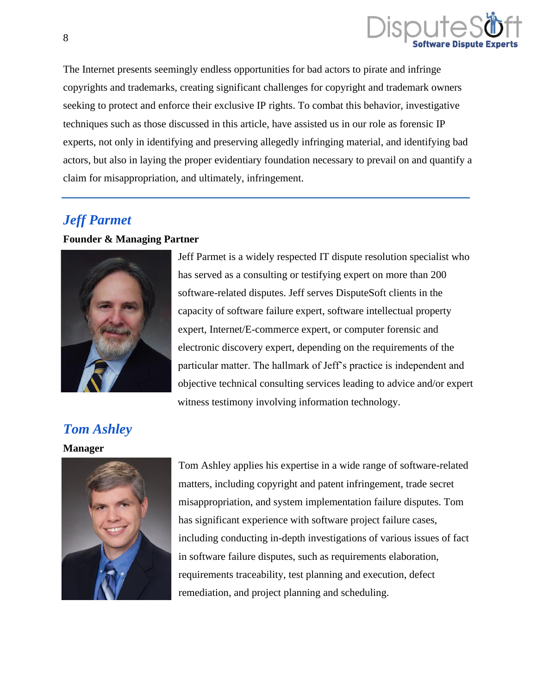

The Internet presents seemingly endless opportunities for bad actors to pirate and infringe copyrights and trademarks, creating significant challenges for copyright and trademark owners seeking to protect and enforce their exclusive IP rights. To combat this behavior, investigative techniques such as those discussed in this article, have assisted us in our role as forensic IP experts, not only in identifying and preserving allegedly infringing material, and identifying bad actors, but also in laying the proper evidentiary foundation necessary to prevail on and quantify a claim for misappropriation, and ultimately, infringement.

## *[Jeff Parmet](https://www.disputesoft.com/experts/jeff-parmet/)*

#### **Founder & Managing Partner**



Jeff Parmet is a widely respected IT dispute resolution specialist who has served as a consulting or testifying expert on more than 200 software-related disputes. Jeff serves DisputeSoft clients in the capacity of software failure expert, software intellectual property expert, Internet/E-commerce expert, or computer forensic and electronic discovery expert, depending on the requirements of the particular matter. The hallmark of Jeff's practice is independent and objective technical consulting services leading to advice and/or expert witness testimony involving information technology.

## *[Tom Ashley](https://www.disputesoft.com/experts/tom-ashley/)*

#### **Manager**



Tom Ashley applies his expertise in a wide range of software-related matters, including copyright and patent infringement, trade secret misappropriation, and system implementation failure disputes. Tom has significant experience with software project failure cases, including conducting in-depth investigations of various issues of fact in software failure disputes, such as requirements elaboration, requirements traceability, test planning and execution, defect remediation, and project planning and scheduling.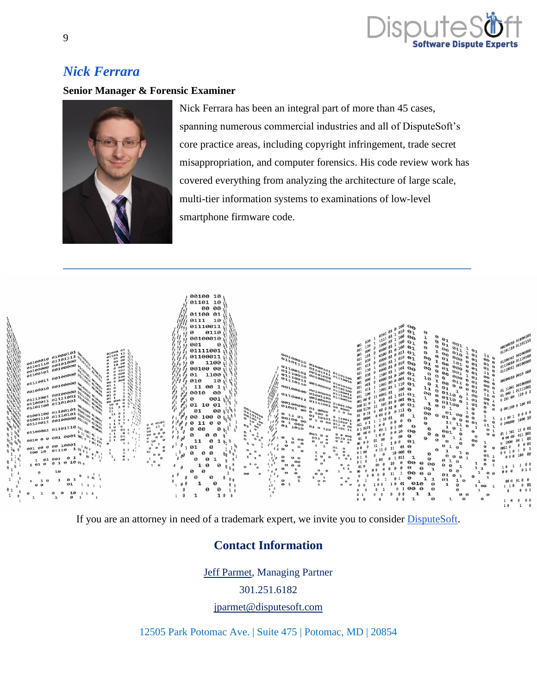

## *[Nick Ferrara](https://www.disputesoft.com/experts/nick-ferrara/)*

#### **Senior Manager & Forensic Examiner**



Nick Ferrara has been an integral part of more than 45 cases, spanning numerous commercial industries and all of DisputeSoft's core practice areas, including copyright infringement, trade secret misappropriation, and computer forensics. His code review work has covered everything from analyzing the architecture of large scale, multi-tier information systems to examinations of low-level smartphone firmware code.



If you are an attorney in need of a trademark expert, we invite you to consider [DisputeSoft.](https://disputesoft.com/experts/andrew-schulman/)

### **Contact Information**

[Jeff Parmet,](https://disputesoft.com/experts/jeff-parmet/) Managing Partner

301.251.6182

[jparmet@disputesoft.com](mailto:jparmet@disputesoft.com)

12505 Park Potomac Ave. | Suite 475 | Potomac, MD | 20854